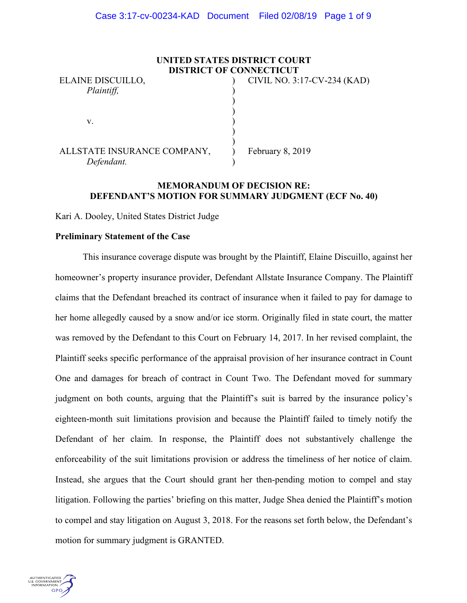### **UNITED STATES DISTRICT COURT DISTRICT OF CONNECTICUT**

| ELAINE DISCUILLO,           | CIVIL NO. 3:17-CV-234 (KAD) |
|-----------------------------|-----------------------------|
| Plaintiff,                  |                             |
|                             |                             |
|                             |                             |
| v.                          |                             |
|                             |                             |
|                             |                             |
| ALLSTATE INSURANCE COMPANY, | February 8, 2019            |
| Defendant.                  |                             |

## **MEMORANDUM OF DECISION RE: DEFENDANT'S MOTION FOR SUMMARY JUDGMENT (ECF No. 40)**

Kari A. Dooley, United States District Judge

### **Preliminary Statement of the Case**

This insurance coverage dispute was brought by the Plaintiff, Elaine Discuillo, against her homeowner's property insurance provider, Defendant Allstate Insurance Company. The Plaintiff claims that the Defendant breached its contract of insurance when it failed to pay for damage to her home allegedly caused by a snow and/or ice storm. Originally filed in state court, the matter was removed by the Defendant to this Court on February 14, 2017. In her revised complaint, the Plaintiff seeks specific performance of the appraisal provision of her insurance contract in Count One and damages for breach of contract in Count Two. The Defendant moved for summary judgment on both counts, arguing that the Plaintiff's suit is barred by the insurance policy's eighteen-month suit limitations provision and because the Plaintiff failed to timely notify the Defendant of her claim. In response, the Plaintiff does not substantively challenge the enforceability of the suit limitations provision or address the timeliness of her notice of claim. Instead, she argues that the Court should grant her then-pending motion to compel and stay litigation. Following the parties' briefing on this matter, Judge Shea denied the Plaintiff's motion to compel and stay litigation on August 3, 2018. For the reasons set forth below, the Defendant's motion for summary judgment is GRANTED.

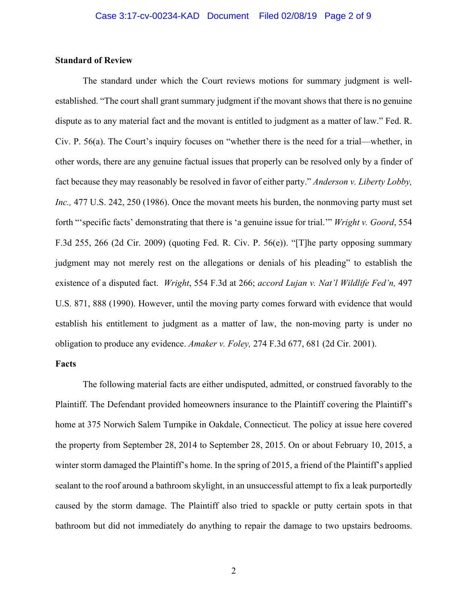## **Standard of Review**

The standard under which the Court reviews motions for summary judgment is wellestablished. "The court shall grant summary judgment if the movant shows that there is no genuine dispute as to any material fact and the movant is entitled to judgment as a matter of law." Fed. R. Civ. P. 56(a). The Court's inquiry focuses on "whether there is the need for a trial—whether, in other words, there are any genuine factual issues that properly can be resolved only by a finder of fact because they may reasonably be resolved in favor of either party." *Anderson v. Liberty Lobby, Inc.,* 477 U.S. 242, 250 (1986). Once the movant meets his burden, the nonmoving party must set forth "'specific facts' demonstrating that there is 'a genuine issue for trial.'" *Wright v. Goord*, 554 F.3d 255, 266 (2d Cir. 2009) (quoting Fed. R. Civ. P. 56(e)). "[T]he party opposing summary judgment may not merely rest on the allegations or denials of his pleading" to establish the existence of a disputed fact. *Wright*, 554 F.3d at 266; *accord Lujan v. Nat'l Wildlife Fed'n,* 497 U.S. 871, 888 (1990). However, until the moving party comes forward with evidence that would establish his entitlement to judgment as a matter of law, the non-moving party is under no obligation to produce any evidence. *Amaker v. Foley,* 274 F.3d 677, 681 (2d Cir. 2001).

### **Facts**

The following material facts are either undisputed, admitted, or construed favorably to the Plaintiff. The Defendant provided homeowners insurance to the Plaintiff covering the Plaintiff's home at 375 Norwich Salem Turnpike in Oakdale, Connecticut. The policy at issue here covered the property from September 28, 2014 to September 28, 2015. On or about February 10, 2015, a winter storm damaged the Plaintiff's home. In the spring of 2015, a friend of the Plaintiff's applied sealant to the roof around a bathroom skylight, in an unsuccessful attempt to fix a leak purportedly caused by the storm damage. The Plaintiff also tried to spackle or putty certain spots in that bathroom but did not immediately do anything to repair the damage to two upstairs bedrooms.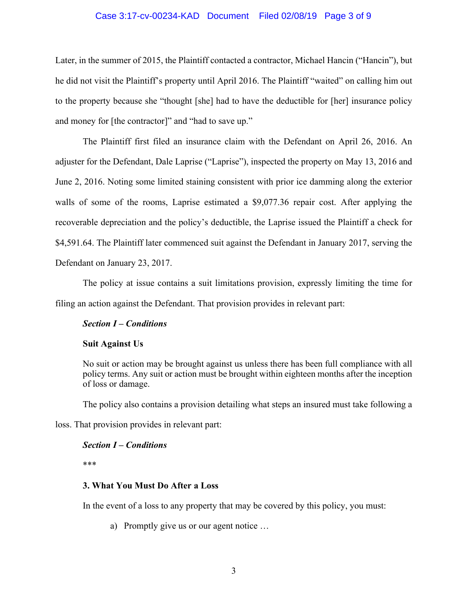## Case 3:17-cv-00234-KAD Document Filed 02/08/19 Page 3 of 9

Later, in the summer of 2015, the Plaintiff contacted a contractor, Michael Hancin ("Hancin"), but he did not visit the Plaintiff's property until April 2016. The Plaintiff "waited" on calling him out to the property because she "thought [she] had to have the deductible for [her] insurance policy and money for [the contractor]" and "had to save up."

The Plaintiff first filed an insurance claim with the Defendant on April 26, 2016. An adjuster for the Defendant, Dale Laprise ("Laprise"), inspected the property on May 13, 2016 and June 2, 2016. Noting some limited staining consistent with prior ice damming along the exterior walls of some of the rooms, Laprise estimated a \$9,077.36 repair cost. After applying the recoverable depreciation and the policy's deductible, the Laprise issued the Plaintiff a check for \$4,591.64. The Plaintiff later commenced suit against the Defendant in January 2017, serving the Defendant on January 23, 2017.

The policy at issue contains a suit limitations provision, expressly limiting the time for filing an action against the Defendant. That provision provides in relevant part:

#### *Section I – Conditions*

#### **Suit Against Us**

No suit or action may be brought against us unless there has been full compliance with all policy terms. Any suit or action must be brought within eighteen months after the inception of loss or damage.

The policy also contains a provision detailing what steps an insured must take following a

loss. That provision provides in relevant part:

#### *Section I – Conditions*

\*\*\*

### **3. What You Must Do After a Loss**

In the event of a loss to any property that may be covered by this policy, you must:

a) Promptly give us or our agent notice …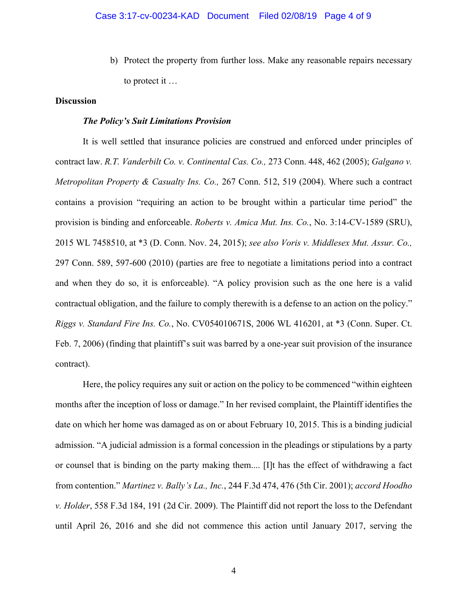b) Protect the property from further loss. Make any reasonable repairs necessary to protect it …

## **Discussion**

#### *The Policy's Suit Limitations Provision*

It is well settled that insurance policies are construed and enforced under principles of contract law. *R.T. Vanderbilt Co. v. Continental Cas. Co.,* 273 Conn. 448, 462 (2005); *Galgano v. Metropolitan Property & Casualty Ins. Co.,* 267 Conn. 512, 519 (2004). Where such a contract contains a provision "requiring an action to be brought within a particular time period" the provision is binding and enforceable. *Roberts v. Amica Mut. Ins. Co.*, No. 3:14-CV-1589 (SRU), 2015 WL 7458510, at \*3 (D. Conn. Nov. 24, 2015); *see also Voris v. Middlesex Mut. Assur. Co.,*  297 Conn. 589, 597-600 (2010) (parties are free to negotiate a limitations period into a contract and when they do so, it is enforceable). "A policy provision such as the one here is a valid contractual obligation, and the failure to comply therewith is a defense to an action on the policy." *Riggs v. Standard Fire Ins. Co.*, No. CV054010671S, 2006 WL 416201, at \*3 (Conn. Super. Ct. Feb. 7, 2006) (finding that plaintiff's suit was barred by a one-year suit provision of the insurance contract).

Here, the policy requires any suit or action on the policy to be commenced "within eighteen months after the inception of loss or damage." In her revised complaint, the Plaintiff identifies the date on which her home was damaged as on or about February 10, 2015. This is a binding judicial admission. "A judicial admission is a formal concession in the pleadings or stipulations by a party or counsel that is binding on the party making them.... [I]t has the effect of withdrawing a fact from contention." *Martinez v. Bally's La., Inc.*, 244 F.3d 474, 476 (5th Cir. 2001); *accord Hoodho v. Holder*, 558 F.3d 184, 191 (2d Cir. 2009). The Plaintiff did not report the loss to the Defendant until April 26, 2016 and she did not commence this action until January 2017, serving the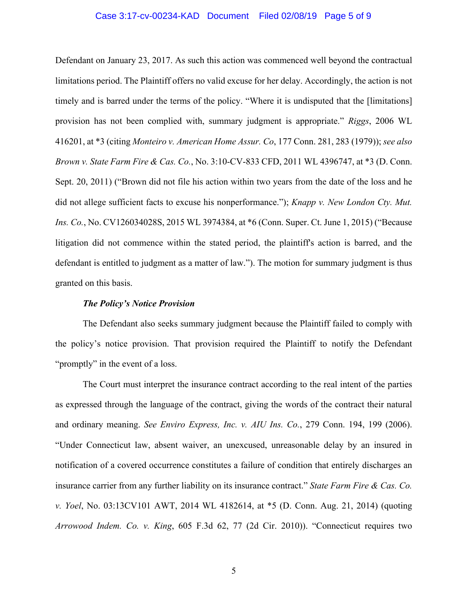#### Case 3:17-cv-00234-KAD Document Filed 02/08/19 Page 5 of 9

Defendant on January 23, 2017. As such this action was commenced well beyond the contractual limitations period. The Plaintiff offers no valid excuse for her delay. Accordingly, the action is not timely and is barred under the terms of the policy. "Where it is undisputed that the [limitations] provision has not been complied with, summary judgment is appropriate." *Riggs*, 2006 WL 416201, at \*3 (citing *Monteiro v. American Home Assur. Co*, 177 Conn. 281, 283 (1979)); *see also Brown v. State Farm Fire & Cas. Co.*, No. 3:10-CV-833 CFD, 2011 WL 4396747, at \*3 (D. Conn. Sept. 20, 2011) ("Brown did not file his action within two years from the date of the loss and he did not allege sufficient facts to excuse his nonperformance."); *Knapp v. New London Cty. Mut. Ins. Co.*, No. CV126034028S, 2015 WL 3974384, at  $*6$  (Conn. Super. Ct. June 1, 2015) ("Because litigation did not commence within the stated period, the plaintiff's action is barred, and the defendant is entitled to judgment as a matter of law."). The motion for summary judgment is thus granted on this basis.

#### *The Policy's Notice Provision*

The Defendant also seeks summary judgment because the Plaintiff failed to comply with the policy's notice provision. That provision required the Plaintiff to notify the Defendant "promptly" in the event of a loss.

The Court must interpret the insurance contract according to the real intent of the parties as expressed through the language of the contract, giving the words of the contract their natural and ordinary meaning. *See Enviro Express, Inc. v. AIU Ins. Co.*, 279 Conn. 194, 199 (2006). "Under Connecticut law, absent waiver, an unexcused, unreasonable delay by an insured in notification of a covered occurrence constitutes a failure of condition that entirely discharges an insurance carrier from any further liability on its insurance contract." *State Farm Fire & Cas. Co. v. Yoel*, No. 03:13CV101 AWT, 2014 WL 4182614, at \*5 (D. Conn. Aug. 21, 2014) (quoting *Arrowood Indem. Co. v. King*, 605 F.3d 62, 77 (2d Cir. 2010)). "Connecticut requires two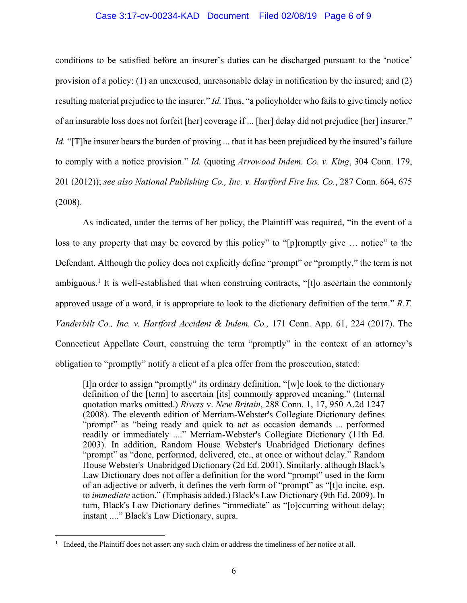### Case 3:17-cv-00234-KAD Document Filed 02/08/19 Page 6 of 9

conditions to be satisfied before an insurer's duties can be discharged pursuant to the 'notice' provision of a policy: (1) an unexcused, unreasonable delay in notification by the insured; and (2) resulting material prejudice to the insurer." *Id.* Thus, "a policyholder who fails to give timely notice of an insurable loss does not forfeit [her] coverage if ... [her] delay did not prejudice [her] insurer." *Id.* "[T]he insurer bears the burden of proving ... that it has been prejudiced by the insured's failure to comply with a notice provision." *Id.* (quoting *Arrowood Indem. Co. v. King*, 304 Conn. 179, 201 (2012)); *see also National Publishing Co., Inc. v. Hartford Fire Ins. Co.*, 287 Conn. 664, 675 (2008).

As indicated, under the terms of her policy, the Plaintiff was required, "in the event of a loss to any property that may be covered by this policy" to "[p]romptly give ... notice" to the Defendant. Although the policy does not explicitly define "prompt" or "promptly," the term is not ambiguous.1 It is well-established that when construing contracts, "[t]o ascertain the commonly approved usage of a word, it is appropriate to look to the dictionary definition of the term." *R.T. Vanderbilt Co., Inc. v. Hartford Accident & Indem. Co.,* 171 Conn. App. 61, 224 (2017). The Connecticut Appellate Court, construing the term "promptly" in the context of an attorney's obligation to "promptly" notify a client of a plea offer from the prosecution, stated:

[I]n order to assign "promptly" its ordinary definition, "[w]e look to the dictionary definition of the [term] to ascertain [its] commonly approved meaning." (Internal quotation marks omitted.) *Rivers* v. *New Britain*, 288 Conn. 1, 17, 950 A.2d 1247 (2008). The eleventh edition of Merriam-Webster's Collegiate Dictionary defines "prompt" as "being ready and quick to act as occasion demands ... performed readily or immediately ...." Merriam-Webster's Collegiate Dictionary (11th Ed. 2003). In addition, Random House Webster's Unabridged Dictionary defines "prompt" as "done, performed, delivered, etc., at once or without delay." Random House Webster's Unabridged Dictionary (2d Ed. 2001). Similarly, although Black's Law Dictionary does not offer a definition for the word "prompt" used in the form of an adjective or adverb, it defines the verb form of "prompt" as "[t]o incite, esp. to *immediate* action." (Emphasis added.) Black's Law Dictionary (9th Ed. 2009). In turn, Black's Law Dictionary defines "immediate" as "[o]ccurring without delay; instant ...." Black's Law Dictionary, supra.

 $1$  Indeed, the Plaintiff does not assert any such claim or address the timeliness of her notice at all.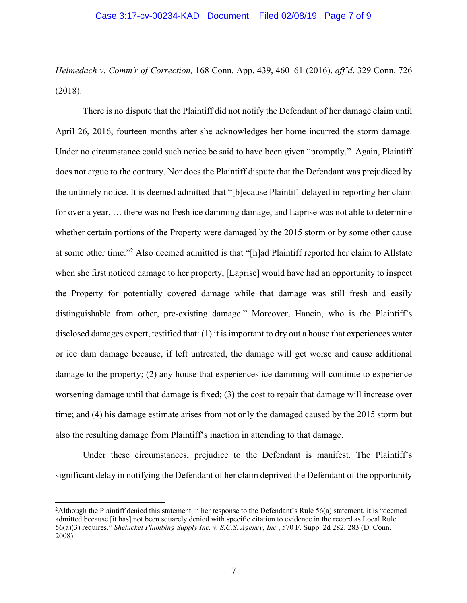*Helmedach v. Comm'r of Correction,* 168 Conn. App. 439, 460–61 (2016), *aff'd*, 329 Conn. 726 (2018).

There is no dispute that the Plaintiff did not notify the Defendant of her damage claim until April 26, 2016, fourteen months after she acknowledges her home incurred the storm damage. Under no circumstance could such notice be said to have been given "promptly." Again, Plaintiff does not argue to the contrary. Nor does the Plaintiff dispute that the Defendant was prejudiced by the untimely notice. It is deemed admitted that "[b]ecause Plaintiff delayed in reporting her claim for over a year, … there was no fresh ice damming damage, and Laprise was not able to determine whether certain portions of the Property were damaged by the 2015 storm or by some other cause at some other time."2 Also deemed admitted is that "[h]ad Plaintiff reported her claim to Allstate when she first noticed damage to her property, [Laprise] would have had an opportunity to inspect the Property for potentially covered damage while that damage was still fresh and easily distinguishable from other, pre-existing damage." Moreover, Hancin, who is the Plaintiff's disclosed damages expert, testified that: (1) it is important to dry out a house that experiences water or ice dam damage because, if left untreated, the damage will get worse and cause additional damage to the property; (2) any house that experiences ice damming will continue to experience worsening damage until that damage is fixed; (3) the cost to repair that damage will increase over time; and (4) his damage estimate arises from not only the damaged caused by the 2015 storm but also the resulting damage from Plaintiff's inaction in attending to that damage.

Under these circumstances, prejudice to the Defendant is manifest. The Plaintiff's significant delay in notifying the Defendant of her claim deprived the Defendant of the opportunity

 <sup>2</sup>Although the Plaintiff denied this statement in her response to the Defendant's Rule 56(a) statement, it is "deemed admitted because [it has] not been squarely denied with specific citation to evidence in the record as Local Rule 56(a)(3) requires." *Shetucket Plumbing Supply Inc. v. S.C.S. Agency, Inc.*, 570 F. Supp. 2d 282, 283 (D. Conn. 2008).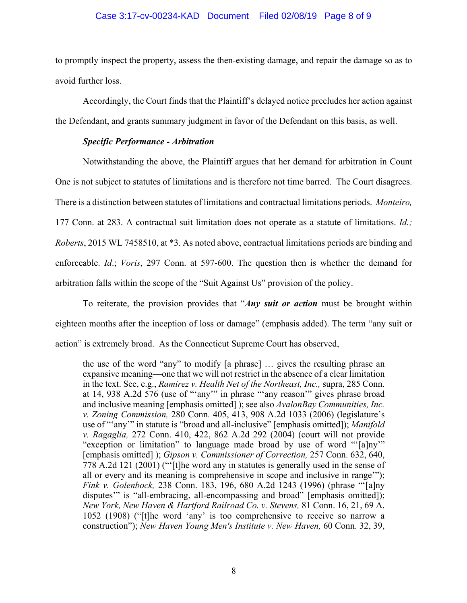## Case 3:17-cv-00234-KAD Document Filed 02/08/19 Page 8 of 9

to promptly inspect the property, assess the then-existing damage, and repair the damage so as to avoid further loss.

Accordingly, the Court finds that the Plaintiff's delayed notice precludes her action against the Defendant, and grants summary judgment in favor of the Defendant on this basis, as well.

## *Specific Performance - Arbitration*

Notwithstanding the above, the Plaintiff argues that her demand for arbitration in Count One is not subject to statutes of limitations and is therefore not time barred. The Court disagrees. There is a distinction between statutes of limitations and contractual limitations periods. *Monteiro,*  177 Conn. at 283. A contractual suit limitation does not operate as a statute of limitations. *Id.; Roberts*, 2015 WL 7458510, at \*3. As noted above, contractual limitations periods are binding and enforceable. *Id*.; *Voris*, 297 Conn. at 597-600. The question then is whether the demand for arbitration falls within the scope of the "Suit Against Us" provision of the policy.

To reiterate, the provision provides that "*Any suit or action* must be brought within eighteen months after the inception of loss or damage" (emphasis added). The term "any suit or action" is extremely broad. As the Connecticut Supreme Court has observed,

the use of the word "any" to modify [a phrase] … gives the resulting phrase an expansive meaning—one that we will not restrict in the absence of a clear limitation in the text. See, e.g., *Ramirez v. Health Net of the Northeast, Inc.,* supra, 285 Conn. at 14, 938 A.2d 576 (use of "'any'" in phrase "'any reason'" gives phrase broad and inclusive meaning [emphasis omitted] ); see also *AvalonBay Communities, Inc. v. Zoning Commission,* 280 Conn. 405, 413, 908 A.2d 1033 (2006) (legislature's use of "'any'" in statute is "broad and all-inclusive" [emphasis omitted]); *Manifold v. Ragaglia,* 272 Conn. 410, 422, 862 A.2d 292 (2004) (court will not provide "exception or limitation" to language made broad by use of word "'[a]ny'" [emphasis omitted] ); *Gipson v. Commissioner of Correction,* 257 Conn. 632, 640, 778 A.2d 121 (2001) ("'[t]he word any in statutes is generally used in the sense of all or every and its meaning is comprehensive in scope and inclusive in range'"); *Fink v. Golenbock,* 238 Conn. 183, 196, 680 A.2d 1243 (1996) (phrase "'[a]ny disputes'" is "all-embracing, all-encompassing and broad" [emphasis omitted]); *New York, New Haven & Hartford Railroad Co. v. Stevens,* 81 Conn. 16, 21, 69 A. 1052 (1908) ("[t]he word 'any' is too comprehensive to receive so narrow a construction"); *New Haven Young Men's Institute v. New Haven,* 60 Conn. 32, 39,